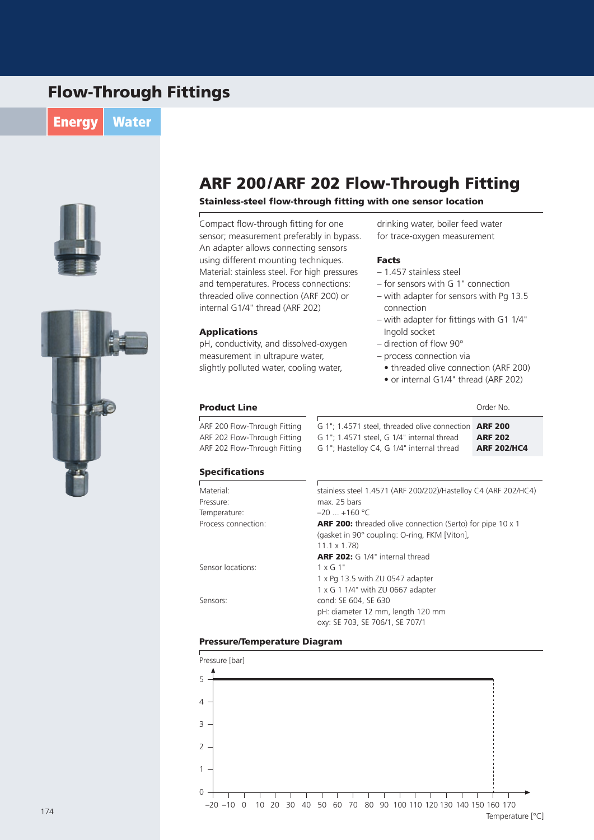## Flow-Through Fittings

**Energy Water** 





### ARF 200/ARF 202 Flow-Through Fitting

### Stainless-steel flow-through fitting with one sensor location

Compact flow-through fitting for one sensor; measurement preferably in bypass. An adapter allows connecting sensors using different mounting techniques. Material: stainless steel. For high pressures and temperatures. Process connections: threaded olive connection (ARF 200) or internal G1/4" thread (ARF 202)

### Applications

 $\sqrt{ }$ 

pH, conductivity, and dissolved-oxygen measurement in ultrapure water, slightly polluted water, cooling water,

drinking water, boiler feed water for trace-oxygen measurement

#### Facts

- 1.457 stainless steel
- $-$  for sensors with G 1" connection
- with adapter for sensors with Pg 13.5 connection
- with adapter for fittings with G1  $1/4$ " Ingold socket
- direction of flow 90°
- process connection via

G 1"; 1.4571 steel, threaded olive connection ARF 200

G 1"; 1.4571 steel, G 1/4" internal thread G 1": Hastellov C4, G 1/4" internal thread

• threaded olive connection (ARF 200)

ARF 202 ARF 202/HC4

• or internal G1/4" thread (ARF 202)

### **Product Line** Order No.

ARF 200 Flow-Through Fitting ARF 202 Flow-Through Fitting ARF 202 Flow-Through Fitting

### Specifications

| Material:           | stainless steel 1.4571 (ARF 200/202)/Hastelloy C4 (ARF 202/HC4)   |  |  |
|---------------------|-------------------------------------------------------------------|--|--|
| Pressure:           | max. 25 bars                                                      |  |  |
| Temperature:        | $-20$ +160 °C                                                     |  |  |
| Process connection: | <b>ARF 200:</b> threaded olive connection (Serto) for pipe 10 x 1 |  |  |
|                     | (gasket in 90° coupling: O-ring, FKM [Viton],                     |  |  |
|                     | $11.1 \times 1.78$                                                |  |  |
|                     | <b>ARF 202:</b> G 1/4" internal thread                            |  |  |
| Sensor locations:   | $1 \times G$ 1"                                                   |  |  |
|                     | 1 x Pg 13.5 with ZU 0547 adapter                                  |  |  |
|                     | 1 x G 1 1/4" with ZU 0667 adapter                                 |  |  |
| Sensors:            | cond: SE 604, SE 630                                              |  |  |
|                     | pH: diameter 12 mm, length 120 mm                                 |  |  |
|                     | oxy: SE 703, SE 706/1, SE 707/1                                   |  |  |
|                     |                                                                   |  |  |

### Pressure/Temperature Diagram



174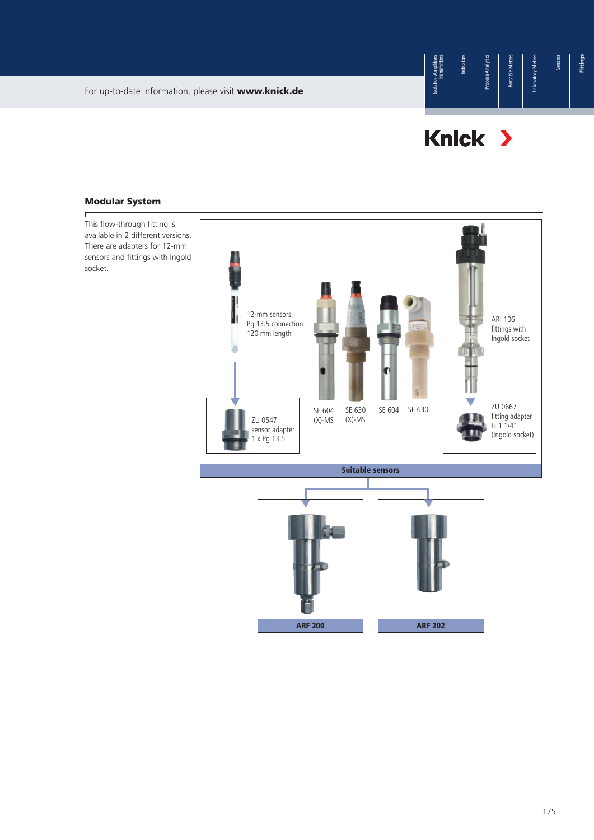# Knick >

### Modular System

 $\overline{1}$ 



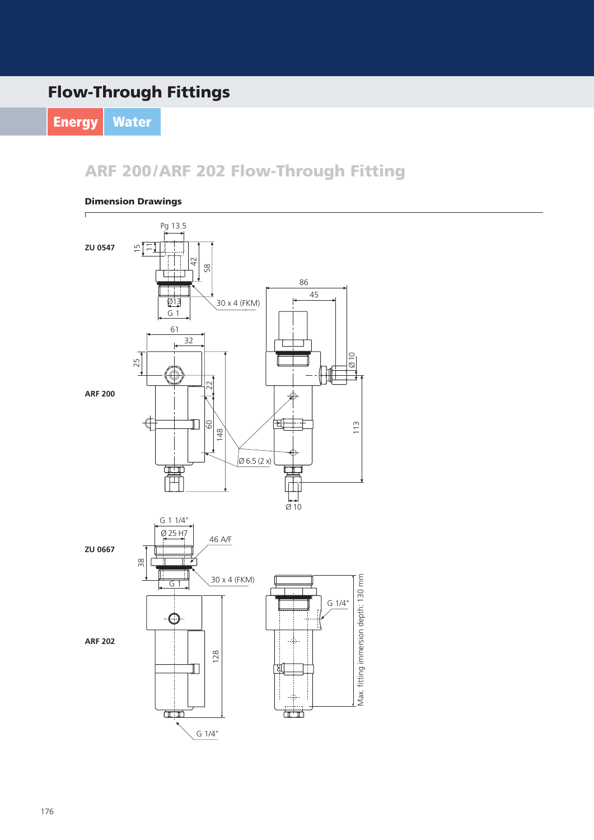## Flow-Through Fittings

Energy | Water

ARF 200/ARF 202 Flow-Through Fitting

### Dimension Drawings

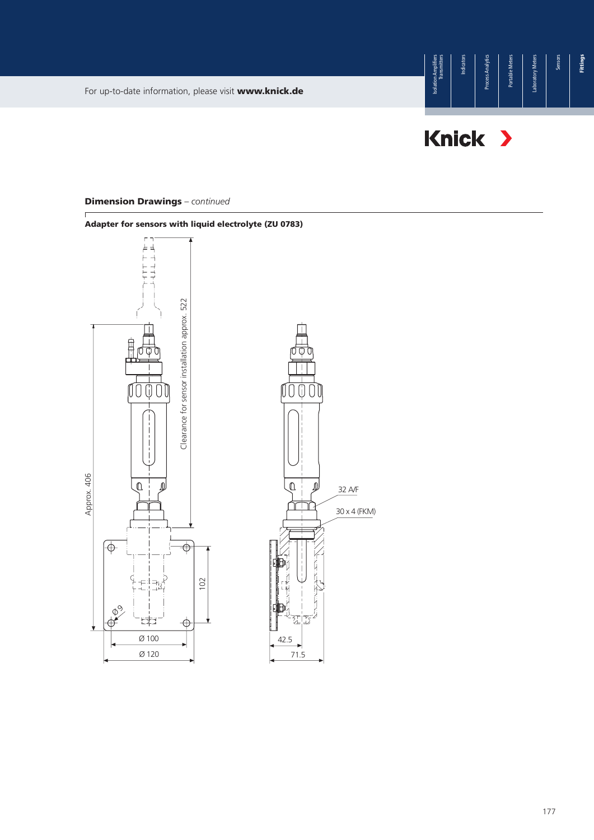



### Dimension Drawings *– continued*

177